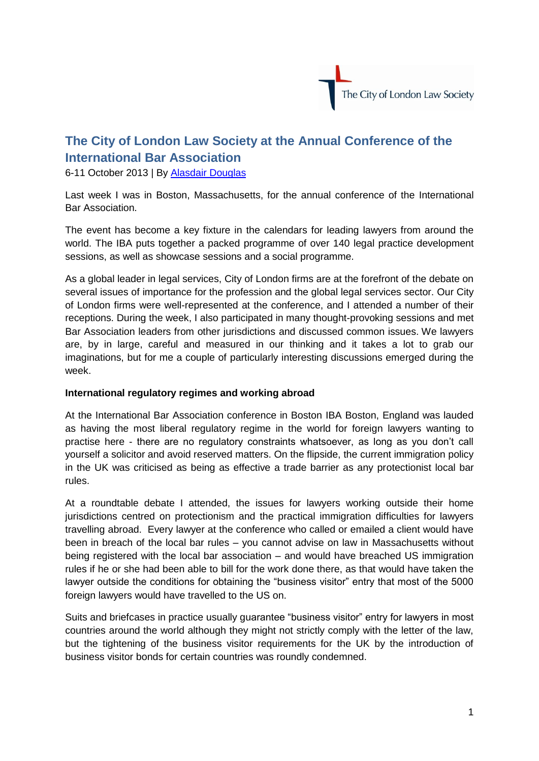

## **The City of London Law Society at the Annual Conference of the International Bar Association**

6-11 October 2013 | By [Alasdair Douglas](http://www.citysolicitors.org.uk/index.php?option=com_content&view=article&id=93:alasdair-douglas&catid=80&Itemid=468)

Last week I was in Boston, Massachusetts, for the annual conference of the International Bar Association.

The event has become a key fixture in the calendars for leading lawyers from around the world. The IBA puts together a packed programme of over 140 legal practice development sessions, as well as showcase sessions and a social programme.

As a global leader in legal services, City of London firms are at the forefront of the debate on several issues of importance for the profession and the global legal services sector. Our City of London firms were well-represented at the conference, and I attended a number of their receptions. During the week, I also participated in many thought-provoking sessions and met Bar Association leaders from other jurisdictions and discussed common issues. We lawyers are, by in large, careful and measured in our thinking and it takes a lot to grab our imaginations, but for me a couple of particularly interesting discussions emerged during the week.

## **International regulatory regimes and working abroad**

At the International Bar Association conference in Boston IBA Boston, England was lauded as having the most liberal regulatory regime in the world for foreign lawyers wanting to practise here - there are no regulatory constraints whatsoever, as long as you don't call yourself a solicitor and avoid reserved matters. On the flipside, the current immigration policy in the UK was criticised as being as effective a trade barrier as any protectionist local bar rules.

At a roundtable debate I attended, the issues for lawyers working outside their home jurisdictions centred on protectionism and the practical immigration difficulties for lawyers travelling abroad. Every lawyer at the conference who called or emailed a client would have been in breach of the local bar rules – you cannot advise on law in Massachusetts without being registered with the local bar association – and would have breached US immigration rules if he or she had been able to bill for the work done there, as that would have taken the lawyer outside the conditions for obtaining the "business visitor" entry that most of the 5000 foreign lawyers would have travelled to the US on.

Suits and briefcases in practice usually guarantee "business visitor" entry for lawyers in most countries around the world although they might not strictly comply with the letter of the law, but the tightening of the business visitor requirements for the UK by the introduction of business visitor bonds for certain countries was roundly condemned.